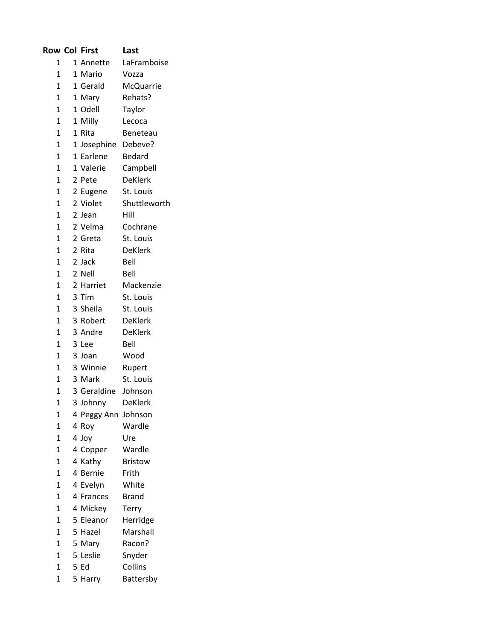|                | <b>Row Col First</b> | Last           |
|----------------|----------------------|----------------|
| 1              | 1 Annette            | LaFramboise    |
| $\mathbf{1}$   | 1 Mario              | Vozza          |
| $\mathbf{1}$   | 1 Gerald             | McQuarrie      |
| $\mathbf{1}$   | 1 Mary               | Rehats?        |
| 1              | 1 Odell              | Taylor         |
| 1              | 1 Milly              | Lecoca         |
| $\mathbf{1}$   | 1 Rita               | Beneteau       |
| 1              | 1 Josephine          | Debeve?        |
| $\mathbf{1}$   | 1 Earlene            | Bedard         |
| $\overline{1}$ | 1 Valerie            | Campbell       |
| $\mathbf{1}$   | 2 Pete               | <b>DeKlerk</b> |
| $\overline{1}$ | 2 Eugene             | St. Louis      |
| 1              | 2 Violet             | Shuttleworth   |
| 1              | 2 Jean               | Hill           |
| 1              | 2 Velma              | Cochrane       |
| $\mathbf{1}$   | 2 Greta              | St. Louis      |
| 1              | 2 Rita               | <b>DeKlerk</b> |
| 1              | 2 Jack               | Bell           |
| 1              | 2 Nell               | Bell           |
| $\mathbf{1}$   | 2 Harriet            | Mackenzie      |
| 1              | 3 Tim                | St. Louis      |
| 1              | 3 Sheila             | St. Louis      |
| $\mathbf{1}$   | 3 Robert             | <b>DeKlerk</b> |
| $\overline{1}$ | 3 Andre              | <b>DeKlerk</b> |
| $\mathbf{1}$   | 3 Lee                | Bell           |
| 1              | 3 Joan               | Wood           |
| $\mathbf{1}$   | 3 Winnie             | Rupert         |
| 1              | 3 Mark               | St. Louis      |
| 1              | 3 Geraldine          | Johnson        |
| 1              | 3 Johnny             | <b>DeKlerk</b> |
| 1              | 4 Peggy Ann          | Johnson        |
| $\overline{1}$ | 4 Roy                | Wardle         |
| 1              | 4 Joy                | Ure            |
| $\overline{1}$ | 4 Copper             | Wardle         |
| 1              | 4 Kathy              | <b>Bristow</b> |
| 1              | 4 Bernie             | Frith          |
| 1              | 4 Evelyn             | White          |
| 1              | 4 Frances            | <b>Brand</b>   |
| $\overline{1}$ | 4 Mickey             | Terry          |
| 1              | 5 Eleanor            | Herridge       |
| 1              | 5 Hazel              | Marshall       |
| 1              | 5 Mary               | Racon?         |
| $\overline{1}$ | 5 Leslie             | Snyder         |
| 1              | 5 Ed                 | Collins        |
| 1              | 5 Harry              | Battersby      |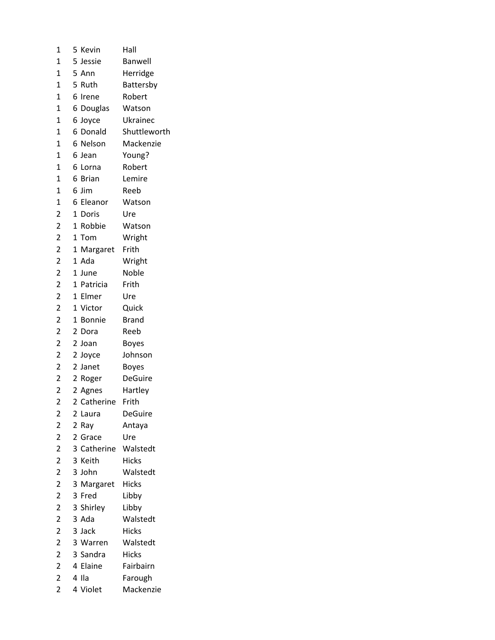| 1                       | 5 Kevin           | Hall           |
|-------------------------|-------------------|----------------|
| 1                       | 5 Jessie          | <b>Banwell</b> |
| $\mathbf{1}$            | 5 Ann             | Herridge       |
| 1                       | 5 Ruth            | Battersby      |
| 1                       | 6 Irene           | Robert         |
| 1                       | 6 Douglas         | Watson         |
| $\mathbf 1$             | 6 Joyce           | Ukrainec       |
| $\mathbf 1$             | 6 Donald          | Shuttleworth   |
| $\mathbf 1$             | 6 Nelson          | Mackenzie      |
| $\mathbf{1}$            | 6 Jean            | Young?         |
| 1                       | 6 Lorna           | Robert         |
| 1                       | 6<br><b>Brian</b> | Lemire         |
| $\mathbf 1$             | 6 Jim             | Reeb           |
| $\mathbf 1$             | 6 Eleanor         | Watson         |
| $\overline{2}$          | 1 Doris           | Ure            |
| $\overline{\mathbf{c}}$ | 1 Robbie          | Watson         |
| $\overline{c}$          | 1 Tom             | Wright         |
| $\overline{\mathbf{c}}$ | 1 Margaret        | Frith          |
| $\overline{\mathbf{c}}$ | 1 Ada             | Wright         |
| $\overline{\mathbf{c}}$ | 1 June            | Noble          |
| $\overline{\mathbf{c}}$ | 1 Patricia        | Frith          |
| $\overline{\mathbf{c}}$ | 1 Elmer           | Ure            |
| $\overline{c}$          | 1 Victor          | Quick          |
| $\overline{\mathbf{c}}$ | 1 Bonnie          | <b>Brand</b>   |
| $\overline{\mathbf{c}}$ | 2 Dora            | Reeb           |
| 2                       | 2 Joan            | <b>Boyes</b>   |
| $\overline{c}$          | 2 Joyce           | Johnson        |
| $\overline{\mathbf{c}}$ | 2 Janet           | <b>Boyes</b>   |
| $\overline{c}$          | 2 Roger           | <b>DeGuire</b> |
| $\overline{2}$          | 2 Agnes           | Hartley        |
| $\overline{c}$          | 2 Catherine       | Frith          |
| $\overline{\mathbf{c}}$ | 2 Laura           | <b>DeGuire</b> |
| $\overline{\mathbf{c}}$ | 2 Ray             | Antaya         |
| $\overline{\mathbf{c}}$ | 2 Grace           | Ure            |
| 2                       | 3 Catherine       | Walstedt       |
| $\overline{c}$          | 3 Keith           | <b>Hicks</b>   |
| $\overline{c}$          | 3 John            | Walstedt       |
| $\overline{\mathbf{c}}$ | 3 Margaret        | <b>Hicks</b>   |
| $\overline{\mathbf{c}}$ | 3 Fred            | Libby          |
| $\overline{\mathbf{c}}$ | 3 Shirley         | Libby          |
| $\overline{c}$          | 3 Ada             | Walstedt       |
| $\overline{c}$          | 3 Jack            | <b>Hicks</b>   |
| $\overline{c}$          | 3 Warren          | Walstedt       |
| $\overline{\mathbf{c}}$ | 3 Sandra          | <b>Hicks</b>   |
| $\overline{\mathbf{c}}$ | 4 Elaine          | Fairbairn      |
| $\overline{c}$          | 4 Ila             | Farough        |
| $\overline{\mathbf{c}}$ | 4 Violet          | Mackenzie      |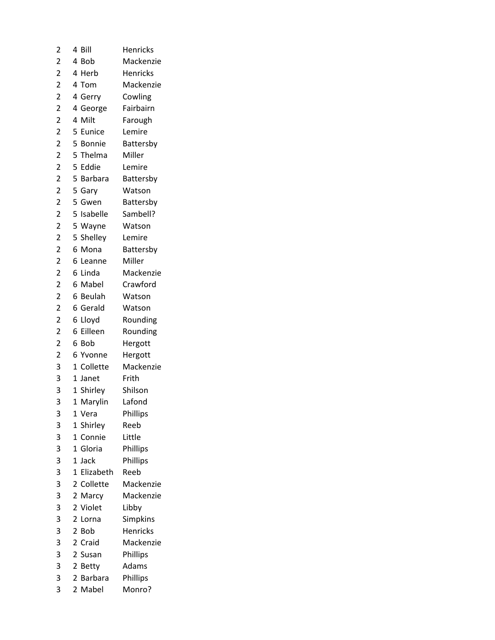| $\overline{\mathbf{c}}$ | Bill<br>4                | <b>Henricks</b> |
|-------------------------|--------------------------|-----------------|
| 2                       | 4<br><b>Bob</b>          | Mackenzie       |
| $\overline{c}$          | 4<br>Herb                | <b>Henricks</b> |
| $\overline{2}$          | 4 Tom                    | Mackenzie       |
| $\overline{2}$          | 4 Gerry                  | Cowling         |
| $\overline{2}$          | 4 George                 | Fairbairn       |
| $\overline{\mathbf{c}}$ | 4<br>Milt                | Farough         |
| $\overline{2}$          | 5<br>Eunice              | Lemire          |
| $\overline{c}$          | 5 Bonnie                 | Battersby       |
| $\overline{2}$          | 5 Thelma                 | Miller          |
| $\overline{2}$          | 5 Eddie                  | Lemire          |
| $\overline{2}$          | 5<br>Barbara             | Battersby       |
| $\overline{c}$          | 5 Gary                   | Watson          |
| $\overline{\mathbf{c}}$ | 5 Gwen                   | Battersby       |
| $\overline{2}$          | 5 Isabelle               | Sambell?        |
| $\overline{\mathbf{c}}$ | 5 Wayne                  | Watson          |
| $\overline{c}$          | 5 Shelley                | Lemire          |
| $\overline{2}$          | 6 Mona                   | Battersby       |
| $\overline{\mathbf{c}}$ | 6<br>Leanne              | Miller          |
| $\overline{c}$          | 6 Linda                  | Mackenzie       |
| $\overline{\mathbf{c}}$ | 6 Mabel                  | Crawford        |
| $\overline{2}$          | 6 Beulah                 | Watson          |
| $\overline{2}$          | 6 Gerald                 | Watson          |
| $\overline{2}$          | 6 Lloyd                  | Rounding        |
| $\overline{2}$          | 6 Eilleen                | Rounding        |
| $\overline{\mathbf{c}}$ | 6<br>Bob                 | Hergott         |
| $\overline{2}$          | 6 Yvonne                 | Hergott         |
| 3                       | 1 Collette               | Mackenzie       |
| 3                       | $\mathbf 1$<br>Janet     | Frith           |
| 3                       | 1 Shirley                | Shilson         |
| 3                       | 1<br>Marylin             | Lafond          |
| 3                       | Vera<br>1                | Phillips        |
| 3                       | 1 Shirley                | Reeb            |
| 3                       | 1 Connie                 | Little          |
| 3                       | 1 Gloria                 | Phillips        |
| 3                       | $\mathbf 1$<br>Jack      | Phillips        |
| 3                       | Elizabeth<br>$\mathbf 1$ | Reeb            |
| 3                       | Collette<br>2            | Mackenzie       |
| 3                       | 2 Marcy                  | Mackenzie       |
| 3                       | 2 Violet                 | Libby           |
| 3                       | 2<br>Lorna               | Simpkins        |
| 3                       | 2 Bob                    | <b>Henricks</b> |
| 3                       | 2<br>Craid               | Mackenzie       |
| 3                       | 2 Susan                  | Phillips        |
| 3                       | 2<br><b>Betty</b>        | Adams           |
| 3                       | 2 Barbara                | Phillips        |
| 3                       | $\mathbf{2}$<br>Mabel    | Monro?          |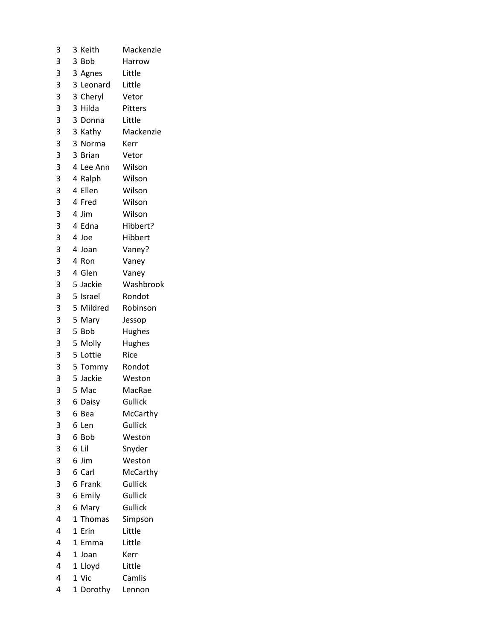| 3 | 3<br>Keith      | Mackenzie |
|---|-----------------|-----------|
| 3 | 3 Bob           | Harrow    |
| 3 | 3 Agnes         | Little    |
| 3 | 3 Leonard       | Little    |
| 3 | 3 Cheryl        | Vetor     |
| 3 | 3 Hilda         | Pitters   |
| 3 | 3 Donna         | Little    |
| 3 | 3 Kathy         | Mackenzie |
| 3 | 3 Norma         | Kerr      |
| 3 | 3 Brian         | Vetor     |
| 3 | 4 Lee Ann       | Wilson    |
| 3 | 4 Ralph         | Wilson    |
| 3 | 4 Ellen         | Wilson    |
| 3 | 4 Fred          | Wilson    |
| 3 | 4 Jim           | Wilson    |
| 3 | 4 Edna          | Hibbert?  |
| 3 | 4 Joe           | Hibbert   |
| 3 | 4 Joan          | Vaney?    |
| 3 | 4<br>Ron        | Vaney     |
| 3 | 4 Glen          | Vaney     |
| 3 | 5 Jackie        | Washbrook |
| 3 | 5 Israel        | Rondot    |
| 3 | 5 Mildred       | Robinson  |
| 3 | 5 Mary          | Jessop    |
| 3 | 5 Bob           | Hughes    |
| 3 | 5 Molly         | Hughes    |
| 3 | 5 Lottie        | Rice      |
| 3 | 5 Tommy         | Rondot    |
| 3 | 5 Jackie        | Weston    |
| 3 | 5 Mac           | MacRae    |
| 3 | 6<br>Daisy      | Gullick   |
| 3 | 6<br>Bea        | McCarthy  |
| 3 | 6<br>Len        | Gullick   |
| 3 | 6<br><b>Bob</b> | Weston    |
| 3 | 6<br>Lil        | Snyder    |
| 3 | 6<br>Jim        | Weston    |
| 3 | 6 Carl          | McCarthy  |
| 3 | 6<br>Frank      | Gullick   |
| 3 | 6<br>Emily      | Gullick   |
| 3 | 6<br>Mary       | Gullick   |
| 4 | 1<br>Thomas     | Simpson   |
| 4 | 1<br>Erin       | Little    |
| 4 | 1<br>Emma       | Little    |
| 4 | 1 Joan          | Kerr      |
| 4 | 1<br>Lloyd      | Little    |
| 4 | 1 Vic           | Camlis    |
| 4 | 1 Dorothy       | Lennon    |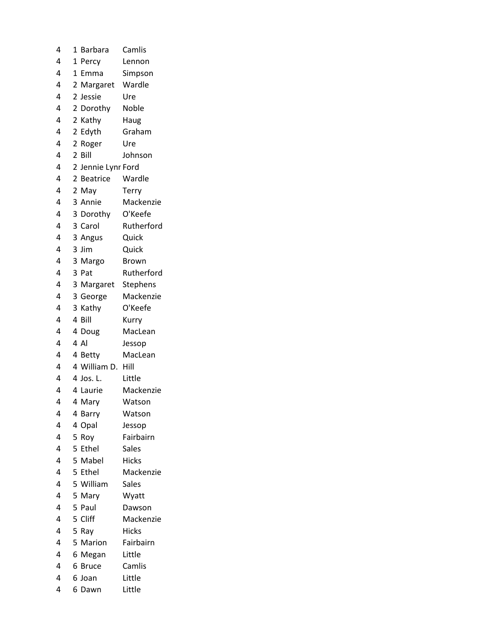| 4 | 1 | Barbara            | Camlis       |
|---|---|--------------------|--------------|
| 4 | 1 | Percy              | Lennon       |
| 4 | 1 | Emma               | Simpson      |
| 4 | 2 | Margaret           | Wardle       |
| 4 |   | 2 Jessie           | Ure          |
| 4 |   | 2 Dorothy          | Noble        |
| 4 |   | 2 Kathy            | Haug         |
| 4 |   | 2 Edyth            | Graham       |
| 4 | 2 | Roger              | Ure          |
| 4 |   | 2 Bill             | Johnson      |
| 4 |   | 2 Jennie Lynr Ford |              |
| 4 |   | 2 Beatrice         | Wardle       |
| 4 |   | 2 May              | Terry        |
| 4 |   | 3 Annie            | Mackenzie    |
| 4 |   | 3 Dorothy          | O'Keefe      |
| 4 |   | 3 Carol            | Rutherford   |
| 4 |   | 3 Angus            | Quick        |
| 4 |   | 3 Jim              | Quick        |
| 4 |   | 3 Margo            | <b>Brown</b> |
| 4 |   | 3 Pat              | Rutherford   |
| 4 |   | 3 Margaret         | Stephens     |
| 4 |   | 3 George           | Mackenzie    |
| 4 |   | 3 Kathy            | O'Keefe      |
| 4 |   | 4 Bill             | Kurry        |
| 4 |   | 4 Doug             | MacLean      |
| 4 |   | 4 Al               | Jessop       |
| 4 |   | 4 Betty            | MacLean      |
| 4 |   | 4 William D.       | Hill         |
| 4 |   | 4 Jos. L.          | Little       |
| 4 |   | 4 Laurie           | Mackenzie    |
| 4 |   | 4 Mary             | Watson       |
| 4 |   | 4 Barry            | Watson       |
| 4 | 4 | Opal               | Jessop       |
| 4 | 5 | Roy                | Fairbairn    |
| 4 | 5 | Ethel              | <b>Sales</b> |
| 4 |   | 5 Mabel            | <b>Hicks</b> |
| 4 |   | 5 Ethel            | Mackenzie    |
| 4 |   | 5 William          | <b>Sales</b> |
| 4 |   | 5 Mary             | Wyatt        |
| 4 | 5 | Paul               | Dawson       |
| 4 |   | 5 Cliff            | Mackenzie    |
| 4 | 5 | Ray                | <b>Hicks</b> |
| 4 |   | 5 Marion           | Fairbairn    |
| 4 | 6 | Megan              | Little       |
| 4 | 6 | <b>Bruce</b>       | Camlis       |
| 4 |   | 6 Joan             | Little       |
| 4 | 6 | Dawn               | Little       |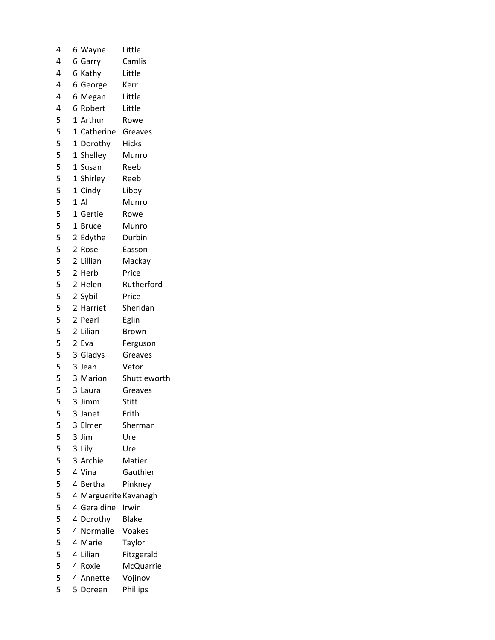| 4 | 6 Wayne               | Little       |
|---|-----------------------|--------------|
| 4 | 6 Garry               | Camlis       |
| 4 | 6 Kathy               | Little       |
| 4 | 6 George              | Kerr         |
| 4 | 6 Megan               | Little       |
| 4 | 6 Robert              | Little       |
| 5 | 1 Arthur              | Rowe         |
| 5 | 1 Catherine Greaves   |              |
| 5 | 1 Dorothy             | Hicks        |
| 5 | 1 Shelley             | Munro        |
| 5 | 1 Susan               | Reeb         |
| 5 | 1 Shirley             | Reeb         |
| 5 | 1 Cindy               | Libby        |
| 5 | 1A                    | Munro        |
| 5 | 1 Gertie              | Rowe         |
| 5 | 1 Bruce               | Munro        |
| 5 | 2 Edythe              | Durbin       |
| 5 | 2 Rose                | Easson       |
| 5 | 2 Lillian             | Mackay       |
| 5 | 2 Herb                | Price        |
| 5 | 2 Helen               | Rutherford   |
| 5 | 2 Sybil               | Price        |
| 5 | 2 Harriet             | Sheridan     |
| 5 | 2 Pearl               | Eglin        |
| 5 | 2 Lilian              | <b>Brown</b> |
| 5 | 2 Eva                 | Ferguson     |
| 5 | 3 Gladys              | Greaves      |
| 5 | 3 Jean                | Vetor        |
| 5 | 3 Marion              | Shuttleworth |
| 5 | 3 Laura               | Greaves      |
| 5 | 3 Jimm                | Stitt        |
| 5 | 3 Janet               | Frith        |
| 5 | 3 Elmer               | Sherman      |
| 5 | 3 Jim                 | Ure          |
| 5 | 3 Lily                | Ure          |
| 5 | 3 Archie              | Matier       |
| 5 | 4 Vina                | Gauthier     |
| 5 | 4 Bertha              | Pinkney      |
| 5 | 4 Marguerite Kavanagh |              |
| 5 | 4 Geraldine           | Irwin        |
| 5 | 4 Dorothy             | <b>Blake</b> |
| 5 | 4 Normalie            | Voakes       |
| 5 | 4 Marie               | Taylor       |
| 5 | 4 Lilian              | Fitzgerald   |
| 5 | 4 Roxie               | McQuarrie    |
| 5 | 4 Annette             | Vojinov      |
| 5 | 5 Doreen              | Phillips     |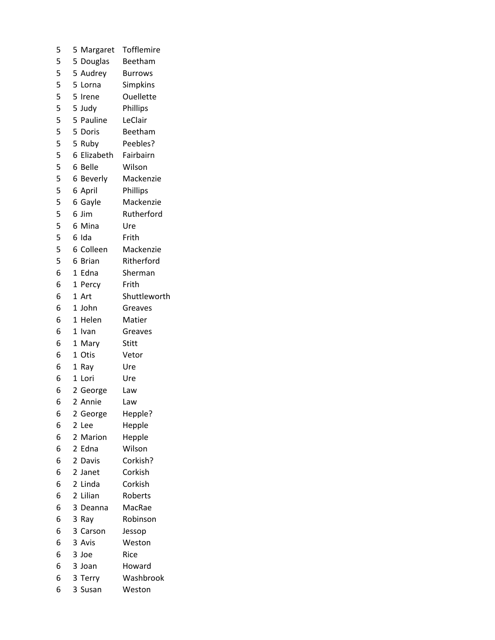| 5                        | 5 Margaret              | Tofflemire     |
|--------------------------|-------------------------|----------------|
| 5                        | 5 Douglas               | Beetham        |
| 5                        | 5 Audrey                | <b>Burrows</b> |
| 5                        | 5 Lorna                 | Simpkins       |
| 5                        | 5 Irene                 | Ouellette      |
| 5                        | 5 Judy                  | Phillips       |
| 5                        | 5 Pauline               | LeClair        |
| $\overline{\phantom{a}}$ | 5 Doris                 | Beetham        |
| $\overline{\phantom{a}}$ | 5 Ruby                  | Peebles?       |
| 5                        | 6 Elizabeth             | Fairbairn      |
| 5                        | 6 Belle                 | Wilson         |
| 5                        | 6 Beverly               | Mackenzie      |
| 5                        | 6 April                 | Phillips       |
| $\overline{5}$           | 6 Gayle                 | Mackenzie      |
| 5                        | 6 Jim                   | Rutherford     |
| 5                        | 6 Mina                  | Ure            |
| 5                        | 6 Ida                   | Frith          |
| 5                        | 6 Colleen               | Mackenzie      |
| 5                        | 6 Brian                 | Ritherford     |
| 6                        | Edna<br>$\mathbf{1}$    | Sherman        |
| 6                        | 1 Percy                 | Frith          |
| 6                        | 1 Art                   | Shuttleworth   |
| 6                        | 1 John                  | Greaves        |
| 6                        | 1 Helen                 | Matier         |
| 6                        | 1<br>Ivan               | Greaves        |
| 6                        | 1 Mary                  | Stitt          |
| 6                        | Otis<br>1               | Vetor          |
| 6                        | 1 Ray                   | Ure            |
| 6                        | 1 Lori                  | Ure            |
| 6                        | 2 George                | Law            |
| 6                        | $\overline{2}$<br>Annie | Law            |
| 6                        | 2 George                | Hepple?        |
| 6                        | 2 Lee                   | Hepple         |
| 6                        | 2<br>Marion             | Hepple         |
| 6                        | 2 Edna                  | Wilson         |
| 6                        | 2 Davis                 | Corkish?       |
| 6                        | 2 Janet                 | Corkish        |
| 6                        | 2 Linda                 | Corkish        |
| 6                        | Lilian<br>2             | Roberts        |
| 6                        | 3 Deanna                | MacRae         |
| 6                        | 3 Ray                   | Robinson       |
| 6                        | 3 Carson                | Jessop         |
| 6                        | 3 Avis                  | Weston         |
| 6                        | 3 Joe                   | Rice           |
| 6                        | 3 Joan                  | Howard         |
| 6                        | 3 Terry                 | Washbrook      |
| 6                        | 3 Susan                 | Weston         |
|                          |                         |                |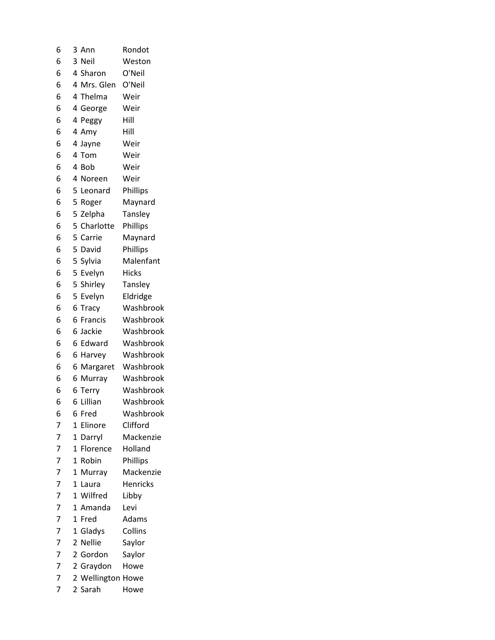| 6              | 3            | Ann               | Rondot          |
|----------------|--------------|-------------------|-----------------|
| 6              |              | 3 Neil            | Weston          |
| 6              |              | 4 Sharon          | O'Neil          |
| 6              |              | 4 Mrs. Glen       | O'Neil          |
| 6              |              | 4 Thelma          | Weir            |
| 6              |              | 4 George          | Weir            |
| 6              |              | 4 Peggy           | Hill            |
| 6              |              | 4 Amy             | Hill            |
| 6              |              | 4 Jayne           | Weir            |
| 6              |              | 4 Tom             | Weir            |
| 6              |              | 4 Bob             | Weir            |
| 6              |              | 4 Noreen          | Weir            |
| 6              |              | 5 Leonard         | Phillips        |
| 6              | 5            | Roger             | Maynard         |
| 6              |              | 5 Zelpha          | Tansley         |
| 6              |              | 5 Charlotte       | Phillips        |
| 6              |              | 5 Carrie          | Maynard         |
| 6              |              | 5 David           | Phillips        |
| 6              |              | 5 Sylvia          | Malenfant       |
| 6              |              | 5 Evelyn          | <b>Hicks</b>    |
| 6              |              | 5 Shirley         | Tansley         |
| 6              |              | 5 Evelyn          | Eldridge        |
| 6              |              | 6 Tracy           | Washbrook       |
| 6              | 6            | Francis           | Washbrook       |
| 6              |              | 6 Jackie          | Washbrook       |
| 6              |              | 6 Edward          | Washbrook       |
| 6              |              | 6 Harvey          | Washbrook       |
| 6              | 6            | Margaret          | Washbrook       |
| 6              | 6            | Murray            | Washbrook       |
| 6              |              | 6 Terry           | Washbrook       |
| 6              | 6            | Lillian           | Washbrook       |
| 6              | 6            | Fred              | Washbrook       |
| 7              | 1            | Elinore           | Clifford        |
| 7              | 1            | Darryl            | Mackenzie       |
| $\overline{7}$ | $\mathbf{1}$ | Florence          | Holland         |
| $\overline{7}$ | 1            | Robin             | Phillips        |
| $\overline{7}$ | $\mathbf{1}$ | Murray            | Mackenzie       |
| 7              | 1            | Laura             | <b>Henricks</b> |
| 7              | $\mathbf{1}$ | Wilfred           | Libby           |
| 7              |              | 1 Amanda          | Levi            |
| 7              | $\mathbf 1$  | Fred              | Adams           |
| 7              | $\mathbf{1}$ | Gladys            | Collins         |
| 7              | 2            | <b>Nellie</b>     | Saylor          |
| 7              |              | 2 Gordon          | Saylor          |
| 7              |              | 2 Graydon         | Howe            |
| $\overline{7}$ |              | 2 Wellington Howe |                 |
| 7              |              | 2 Sarah           | Howe            |